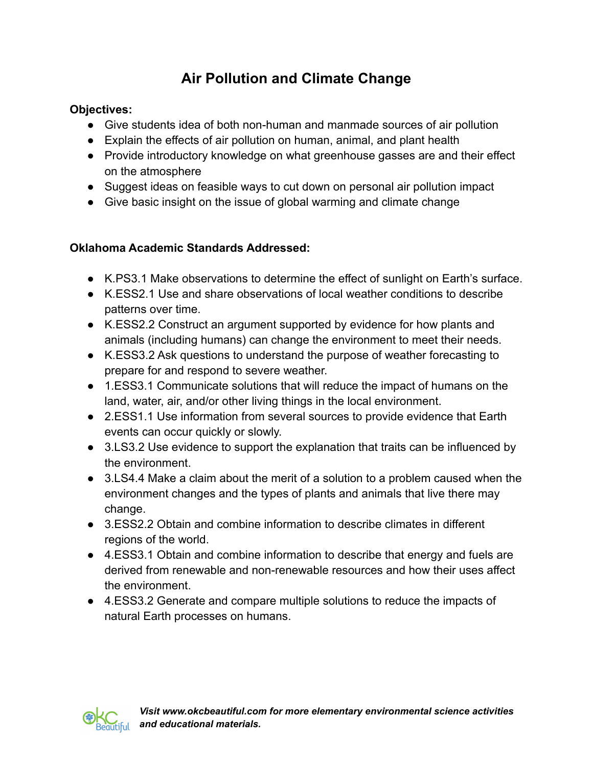# **Air Pollution and Climate Change**

#### **Objectives:**

- Give students idea of both non-human and manmade sources of air pollution
- Explain the effects of air pollution on human, animal, and plant health
- Provide introductory knowledge on what greenhouse gasses are and their effect on the atmosphere
- Suggest ideas on feasible ways to cut down on personal air pollution impact
- Give basic insight on the issue of global warming and climate change

## **Oklahoma Academic Standards Addressed:**

- K.PS3.1 Make observations to determine the effect of sunlight on Earth's surface.
- K.ESS2.1 Use and share observations of local weather conditions to describe patterns over time.
- K.ESS2.2 Construct an argument supported by evidence for how plants and animals (including humans) can change the environment to meet their needs.
- K.ESS3.2 Ask questions to understand the purpose of weather forecasting to prepare for and respond to severe weather.
- 1.ESS3.1 Communicate solutions that will reduce the impact of humans on the land, water, air, and/or other living things in the local environment.
- 2.ESS1.1 Use information from several sources to provide evidence that Earth events can occur quickly or slowly.
- 3.LS3.2 Use evidence to support the explanation that traits can be influenced by the environment.
- 3.LS4.4 Make a claim about the merit of a solution to a problem caused when the environment changes and the types of plants and animals that live there may change.
- 3.ESS2.2 Obtain and combine information to describe climates in different regions of the world.
- 4.ESS3.1 Obtain and combine information to describe that energy and fuels are derived from renewable and non-renewable resources and how their uses affect the environment.
- 4.ESS3.2 Generate and compare multiple solutions to reduce the impacts of natural Earth processes on humans.

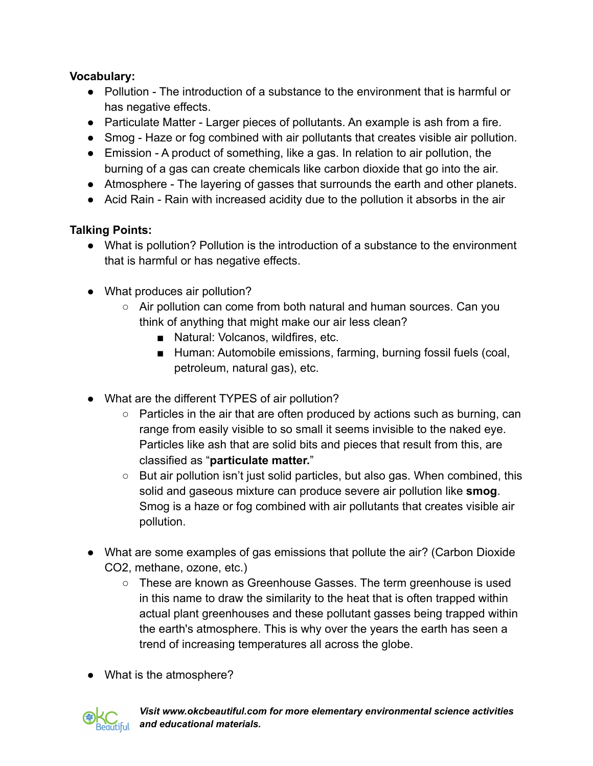## **Vocabulary:**

- Pollution The introduction of a substance to the environment that is harmful or has negative effects.
- Particulate Matter Larger pieces of pollutants. An example is ash from a fire.
- Smog Haze or fog combined with air pollutants that creates visible air pollution.
- Emission A product of something, like a gas. In relation to air pollution, the burning of a gas can create chemicals like carbon dioxide that go into the air.
- Atmosphere The layering of gasses that surrounds the earth and other planets.
- Acid Rain Rain with increased acidity due to the pollution it absorbs in the air

## **Talking Points:**

- What is pollution? Pollution is the introduction of a substance to the environment that is harmful or has negative effects.
- What produces air pollution?
	- Air pollution can come from both natural and human sources. Can you think of anything that might make our air less clean?
		- Natural: Volcanos, wildfires, etc.
		- Human: Automobile emissions, farming, burning fossil fuels (coal, petroleum, natural gas), etc.
- What are the different TYPES of air pollution?
	- Particles in the air that are often produced by actions such as burning, can range from easily visible to so small it seems invisible to the naked eye. Particles like ash that are solid bits and pieces that result from this, are classified as "**particulate matter.**"
	- $\circ$  But air pollution isn't just solid particles, but also gas. When combined, this solid and gaseous mixture can produce severe air pollution like **smog**. Smog is a haze or fog combined with air pollutants that creates visible air pollution.
- What are some examples of gas emissions that pollute the air? (Carbon Dioxide CO2, methane, ozone, etc.)
	- These are known as Greenhouse Gasses. The term greenhouse is used in this name to draw the similarity to the heat that is often trapped within actual plant greenhouses and these pollutant gasses being trapped within the earth's atmosphere. This is why over the years the earth has seen a trend of increasing temperatures all across the globe.
- What is the atmosphere?



*Visit www.okcbeautiful.com for more elementary environmental science activities and educational materials.*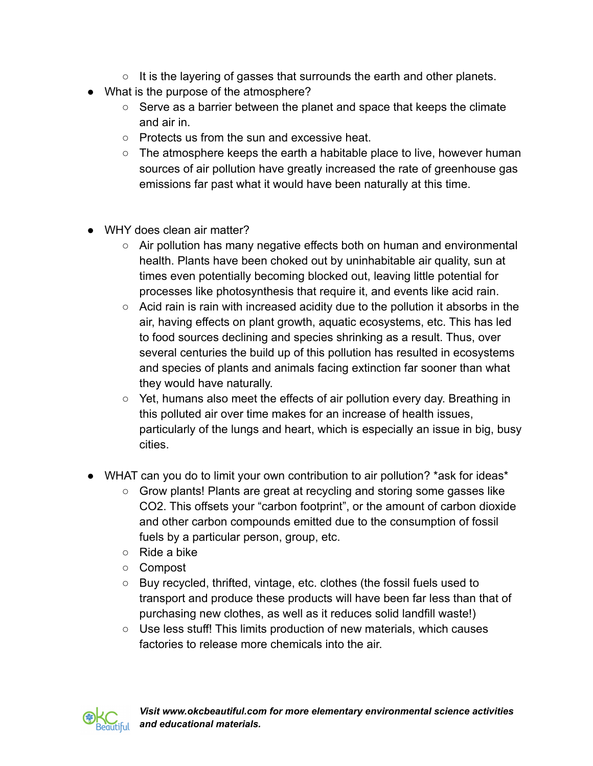- $\circ$  It is the layering of gasses that surrounds the earth and other planets.
- What is the purpose of the atmosphere?
	- Serve as a barrier between the planet and space that keeps the climate and air in.
	- Protects us from the sun and excessive heat.
	- The atmosphere keeps the earth a habitable place to live, however human sources of air pollution have greatly increased the rate of greenhouse gas emissions far past what it would have been naturally at this time.
- WHY does clean air matter?
	- Air pollution has many negative effects both on human and environmental health. Plants have been choked out by uninhabitable air quality, sun at times even potentially becoming blocked out, leaving little potential for processes like photosynthesis that require it, and events like acid rain.
	- Acid rain is rain with increased acidity due to the pollution it absorbs in the air, having effects on plant growth, aquatic ecosystems, etc. This has led to food sources declining and species shrinking as a result. Thus, over several centuries the build up of this pollution has resulted in ecosystems and species of plants and animals facing extinction far sooner than what they would have naturally.
	- Yet, humans also meet the effects of air pollution every day. Breathing in this polluted air over time makes for an increase of health issues, particularly of the lungs and heart, which is especially an issue in big, busy cities.
- WHAT can you do to limit your own contribution to air pollution? \*ask for ideas\*
	- Grow plants! Plants are great at recycling and storing some gasses like CO2. This offsets your "carbon footprint", or the amount of carbon dioxide and other carbon compounds emitted due to the consumption of fossil fuels by a particular person, group, etc.
	- Ride a bike
	- Compost
	- Buy recycled, thrifted, vintage, etc. clothes (the fossil fuels used to transport and produce these products will have been far less than that of purchasing new clothes, as well as it reduces solid landfill waste!)
	- Use less stuff! This limits production of new materials, which causes factories to release more chemicals into the air.